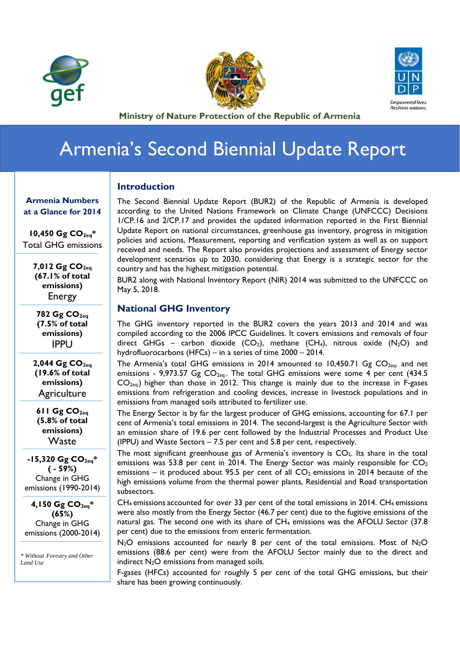





**Ministry of Nature Protection of the Republic of Armenia** 

## Armenia's Second Biennial Update Report

## **Introduction**

The Second Biennial Update Report (BUR2) of the Republic of Armenia is developed according to the United Nations Framework on Climate Change (UNFCCC) Decisions 1/CP.16 and 2/CP.17 and provides the updated information reported in the First Biennial Update Report on national circumstances, greenhouse gas inventory, progress in mitigation policies and actions, Measurement, reporting and verification system as well as on support received and needs. The Report also provides projections and assessment of Energy sector development scenarios up to 2030, considering that Energy is a strategic sector for the country and has the highest mitigation potential.

BUR2 along with National Inventory Report (NIR) 2014 was submitted to the UNFCCC on May 5, 2018.

## **National GHG Inventory**

The GHG inventory reported in the BUR2 covers the years 2013 and 2014 and was compiled according to the 2006 IPCC Guidelines. It covers emissions and removals of four direct GHGs – carbon dioxide (CO<sub>2</sub>), methane (CH<sub>4</sub>), nitrous oxide (N<sub>2</sub>O) and hydrofluorocarbons (HFCs) – in a series of time 2000 – 2014.

The Armenia's total GHG emissions in 2014 amounted to 10,450.71 Gg  $CO<sub>2eq</sub>$  and net emissions - 9,973.57 Gg  $CO<sub>2eq</sub>$ . The total GHG emissions were some 4 per cent (434.5  $CO<sub>2eq</sub>$ ) higher than those in 2012. This change is mainly due to the increase in F-gases emissions from refrigeration and cooling devices, increase in livestock populations and in emissions from managed soils attributed to fertilizer use.

The Energy Sector is by far the largest producer of GHG emissions, accounting for 67.1 per cent of Armenia's total emissions in 2014. The second-largest is the Agriculture Sector with an emission share of 19.6 per cent followed by the Industrial Processes and Product Use (IPPU) and Waste Sectors – 7.5 per cent and 5.8 per cent, respectively.

The most significant greenhouse gas of Armenia's inventory is  $CO<sub>2</sub>$ . Its share in the total emissions was 53.8 per cent in 2014. The Energy Sector was mainly responsible for  $CO<sub>2</sub>$ emissions – it produced about 95.5 per cent of all  $CO<sub>2</sub>$  emissions in 2014 because of the high emissions volume from the thermal power plants, Residential and Road transportation subsectors.

 $CH_4$  emissions accounted for over 33 per cent of the total emissions in 2014. CH<sub>4</sub> emissions were also mostly from the Energy Sector (46.7 per cent) due to the fugitive emissions of the natural gas. The second one with its share of CH4 emissions was the AFOLU Sector (37.8 per cent) due to the emissions from enteric fermentation.

 $N_2O$  emissions accounted for nearly 8 per cent of the total emissions. Most of  $N_2O$ emissions (88.6 per cent) were from the AFOLU Sector mainly due to the direct and indirect  $N_2O$  emissions from managed soils.

F-gases (HFCs) accounted for roughly 5 per cent of the total GHG emissions, but their share has been growing continuously.

**Armenia Numbers at a Glance for 2014** 

**10,450 Gg CO2eq\*** Total GHG emissions

> 7,012 Gg CO<sub>2eq</sub> **(67.1% of total emissions)**  Energy

**782 Gg CO2eq (7.5% of total emissions)**  IPPU

2,044 Gg CO<sub>2eq</sub> **(19.6% of total emissions) Agriculture** 

 $611$  Gg  $CO<sub>2ea</sub>$ **(5.8% of total emissions)**  Waste

**-15,320 Gg CO2eq\* ( - 59%)** Change in GHG emissions (1990-2014)

**4,150 Gg CO2eq\* (65%)** Change in GHG emissions (2000-2014)

*\* Without Forestry and Other Land Use*